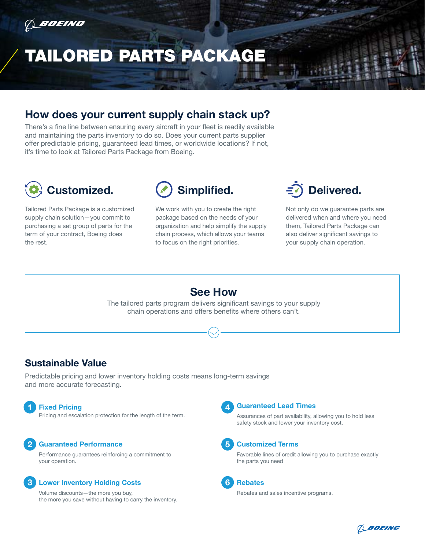

# TAILORED PARTS PACKAGE

### **How does your current supply chain stack up?**

There's a fine line between ensuring every aircraft in your fleet is readily available and maintaining the parts inventory to do so. Does your current parts supplier offer predictable pricing, guaranteed lead times, or worldwide locations? If not, it's time to look at Tailored Parts Package from Boeing.



Tailored Parts Package is a customized supply chain solution—you commit to purchasing a set group of parts for the term of your contract, Boeing does the rest.



We work with you to create the right package based on the needs of your organization and help simplify the supply chain process, which allows your teams to focus on the right priorities.



Not only do we guarantee parts are delivered when and where you need them, Tailored Parts Package can also deliver significant savings to your supply chain operation.

#### **See How** The tailored parts program delivers significant savings to your supply chain operations and offers benefits where others can't.

### **Sustainable Value**

Predictable pricing and lower inventory holding costs means long-term savings and more accurate forecasting.

#### **Fixed Pricing**

**Fixed Pricing**<br>Pricing and escalation protection for the length of the term.<br>Assurances of part availability. a

#### **2 Guaranteed Performance Customized Terms**

Performance guarantees reinforcing a commitment to your operation.

#### **1 a a 6** *6* **<b>Rebates**

Volume discounts—the more you buy, the more you save without having to carry the inventory.

Assurances of part availability, allowing you to hold less safety stock and lower your inventory cost.

Favorable lines of credit allowing you to purchase exactly the parts you need

Rebates and sales incentive programs.